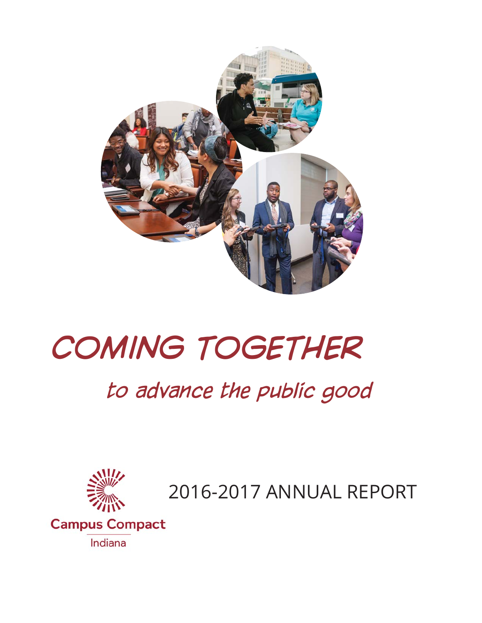

# *COMING TOGETHER*

## *to advance the public good*



2016-2017 ANNUAL REPORT

**Campus Compact** Indiana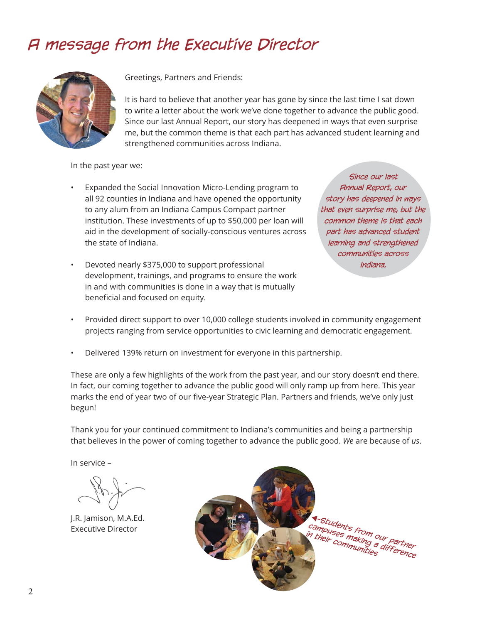### *A message from the Executive Director*



Greetings, Partners and Friends:

It is hard to believe that another year has gone by since the last time I sat down to write a letter about the work we've done together to advance the public good. Since our last Annual Report, our story has deepened in ways that even surprise me, but the common theme is that each part has advanced student learning and strengthened communities across Indiana.

In the past year we:

- Expanded the Social Innovation Micro-Lending program to all 92 counties in Indiana and have opened the opportunity to any alum from an Indiana Campus Compact partner institution. These investments of up to \$50,000 per loan will aid in the development of socially-conscious ventures across the state of Indiana.
- Devoted nearly \$375,000 to support professional development, trainings, and programs to ensure the work in and with communities is done in a way that is mutually beneficial and focused on equity.

*Since our last Annual Report, our story has deepened in ways that even surprise me, but the common theme is that each part has advanced student learning and strengthened communities across Indiana.* 

- Provided direct support to over 10,000 college students involved in community engagement projects ranging from service opportunities to civic learning and democratic engagement.
- Delivered 139% return on investment for everyone in this partnership.

These are only a few highlights of the work from the past year, and our story doesn't end there. In fact, our coming together to advance the public good will only ramp up from here. This year marks the end of year two of our five-year Strategic Plan. Partners and friends, we've only just begun!

Thank you for your continued commitment to Indiana's communities and being a partnership that believes in the power of coming together to advance the public good. *We* are because of *us*.

In service –

J.R. Jamison, M.A.Ed. Executive Director

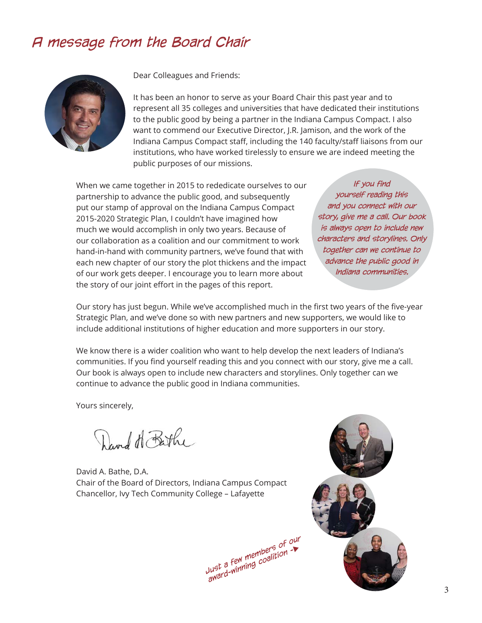### *A message from the Board Chair*



Dear Colleagues and Friends:

It has been an honor to serve as your Board Chair this past year and to represent all 35 colleges and universities that have dedicated their institutions to the public good by being a partner in the Indiana Campus Compact. I also want to commend our Executive Director, J.R. Jamison, and the work of the Indiana Campus Compact staff, including the 140 faculty/staff liaisons from our institutions, who have worked tirelessly to ensure we are indeed meeting the public purposes of our missions.

When we came together in 2015 to rededicate ourselves to our partnership to advance the public good, and subsequently put our stamp of approval on the Indiana Campus Compact 2015-2020 Strategic Plan, I couldn't have imagined how much we would accomplish in only two years. Because of our collaboration as a coalition and our commitment to work hand-in-hand with community partners, we've found that with each new chapter of our story the plot thickens and the impact of our work gets deeper. I encourage you to learn more about the story of our joint effort in the pages of this report.

*If you find yourself reading this and you connect with our story, give me a call. Our book is always open to include new characters and storylines. Only together can we continue to advance the public good in Indiana communities.* 

Our story has just begun. While we've accomplished much in the first two years of the five-year Strategic Plan, and we've done so with new partners and new supporters, we would like to include additional institutions of higher education and more supporters in our story.

We know there is a wider coalition who want to help develop the next leaders of Indiana's communities. If you find yourself reading this and you connect with our story, give me a call. Our book is always open to include new characters and storylines. Only together can we continue to advance the public good in Indiana communities.

Yours sincerely,

David H Bathe

David A. Bathe, D.A. Chair of the Board of Directors, Indiana Campus Compact Chancellor, Ivy Tech Community College – Lafayette

*Just a few members of our award-winning coalition -*

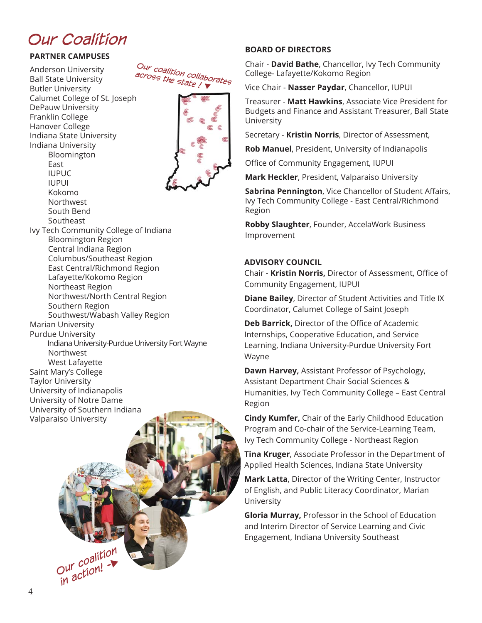### *Our Coalition*

#### **PARTNER CAMPUSES**

Anderson University Ball State University Butler University Calumet College of St. Joseph DePauw University Franklin College Hanover College Indiana State University Indiana University Bloomington East IUPUC IUPUI Kokomo Northwest South Bend Southeast Ivy Tech Community College of Indiana Bloomington Region Central Indiana Region Columbus/Southeast Region East Central/Richmond Region Lafayette/Kokomo Region Northeast Region Northwest/North Central Region Southern Region Southwest/Wabash Valley Region Marian University Purdue University Indiana University-Purdue University Fort Wayne Northwest West Lafayette Saint Mary's College Taylor University University of Indianapolis University of Notre Dame University of Southern Indiana Valparaiso University





Budgets and Finance and Assistant Treasurer, Ball State University

College- Lafayette/Kokomo Region

**BOARD OF DIRECTORS**

Secretary - **Kristin Norris**, Director of Assessment,

Vice Chair - **Nasser Paydar**, Chancellor, IUPUI

Chair - **David Bathe**, Chancellor, Ivy Tech Community

Treasurer - **Matt Hawkins**, Associate Vice President for

**Rob Manuel**, President, University of Indianapolis

Office of Community Engagement, IUPUI

**Mark Heckler**, President, Valparaiso University

**Sabrina Pennington**, Vice Chancellor of Student Affairs, Ivy Tech Community College - East Central/Richmond Region

**Robby Slaughter**, Founder, AccelaWork Business Improvement

#### **ADVISORY COUNCIL**

Chair - Kristin Norris, Director of Assessment, Office of Community Engagement, IUPUI

**Diane Bailey**, Director of Student Activities and Title IX Coordinator, Calumet College of Saint Joseph

**Deb Barrick, Director of the Office of Academic** Internships, Cooperative Education, and Service Learning, Indiana University-Purdue University Fort Wayne

**Dawn Harvey,** Assistant Professor of Psychology, Assistant Department Chair Social Sciences & Humanities, Ivy Tech Community College – East Central Region

**Cindy Kumfer,** Chair of the Early Childhood Education Program and Co-chair of the Service-Learning Team, Ivy Tech Community College - Northeast Region

**Tina Kruger**, Associate Professor in the Department of Applied Health Sciences, Indiana State University

**Mark Latta**, Director of the Writing Center, Instructor of English, and Public Literacy Coordinator, Marian University

**Gloria Murray,** Professor in the School of Education and Interim Director of Service Learning and Civic Engagement, Indiana University Southeast

*Our coalition in action! -*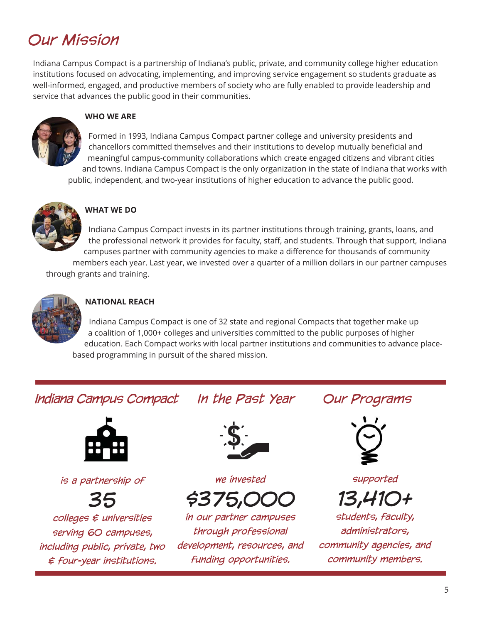### *Our Mission*

Indiana Campus Compact is a partnership of Indiana's public, private, and community college higher education institutions focused on advocating, implementing, and improving service engagement so students graduate as well-informed, engaged, and productive members of society who are fully enabled to provide leadership and service that advances the public good in their communities.



#### **WHO WE ARE**

Formed in 1993, Indiana Campus Compact partner college and university presidents and chancellors committed themselves and their institutions to develop mutually beneficial and meaningful campus-community collaborations which create engaged citizens and vibrant cities and towns. Indiana Campus Compact is the only organization in the state of Indiana that works with public, independent, and two-year institutions of higher education to advance the public good.



#### **WHAT WE DO**

Indiana Campus Compact invests in its partner institutions through training, grants, loans, and the professional network it provides for faculty, staff, and students. Through that support, Indiana campuses partner with community agencies to make a difference for thousands of community members each year. Last year, we invested over a quarter of a million dollars in our partner campuses through grants and training.



#### **NATIONAL REACH**

Indiana Campus Compact is one of 32 state and regional Compacts that together make up a coalition of 1,000+ colleges and universities committed to the public purposes of higher education. Each Compact works with local partner institutions and communities to advance placebased programming in pursuit of the shared mission.

### *Indiana Campus Compact In the Past Year Our Programs*



*is a partnership of* 

*35 colleges & universities serving 60 campuses, including public, private, two & four-year institutions.*



*we invested*

*\$375,000*

*in our partner campuses through professional development, resources, and funding opportunities.*



*supported*

*13,410+* 

*students, faculty, administrators, community agencies, and community members.*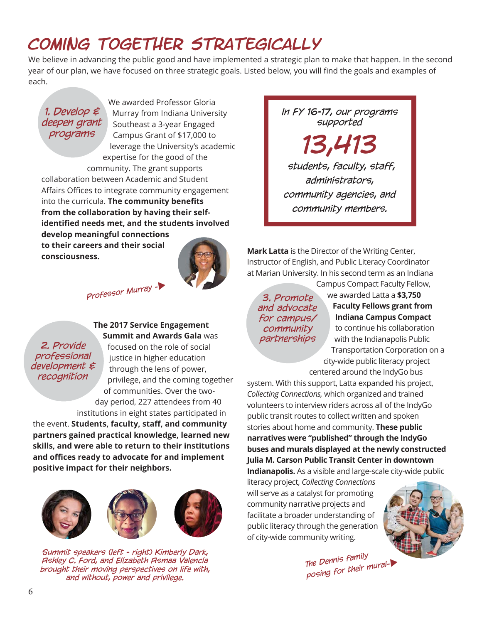### *Coming Together Strategically*

We believe in advancing the public good and have implemented a strategic plan to make that happen. In the second year of our plan, we have focused on three strategic goals. Listed below, you will find the goals and examples of each.

#### *1. Develop & deepen grant programs*

We awarded Professor Gloria Murray from Indiana University Southeast a 3-year Engaged Campus Grant of \$17,000 to leverage the University's academic expertise for the good of the community. The grant supports

collaboration between Academic and Student Affairs Offices to integrate community engagement into the curricula. The community benefits **from the collaboration by having their self**identified needs met, and the students involved **develop meaningful connections to their careers and their social consciousness.** 



*Professor Murray -*

#### **The 2017 Service Engagement Summit and Awards Gala** was

*2. Provide professional development & recognition*

focused on the role of social justice in higher education through the lens of power, privilege, and the coming together of communities. Over the twoday period, 227 attendees from 40

institutions in eight states participated in the event. **Students, faculty, staff , and community partners gained practical knowledge, learned new skills, and were able to return to their institutions and offi ces ready to advocate for and implement positive impact for their neighbors.** 



*Summit speakers (left - right) Kimberly Dark, Ashley C. Ford, and Elizabeth Asmaa Valencia brought their moving perspectives on life with, and without, power and privilege.*

*In FY 16-17, our programs supported* 

*13,413 students, faculty, staff, administrators,* 

*community agencies, and community members.*

**Mark Latta** is the Director of the Writing Center, Instructor of English, and Public Literacy Coordinator at Marian University. In his second term as an Indiana Campus Compact Faculty Fellow,

*3. Promote and advocate for campus/ community partnerships*

we awarded Latta a **\$3,750 Faculty Fellows grant from Indiana Campus Compact** to continue his collaboration with the Indianapolis Public Transportation Corporation on a city-wide public literacy project

centered around the IndyGo bus

system. With this support, Latta expanded his project, *Collecting Connections,* which organized and trained volunteers to interview riders across all of the IndyGo public transit routes to collect written and spoken stories about home and community. **These public narratives were "published" through the IndyGo buses and murals displayed at the newly constructed Julia M. Carson Public Transit Center in downtown Indianapolis.** As a visible and large-scale city-wide public

literacy project, *Collecting Connections*  will serve as a catalyst for promoting community narrative projects and facilitate a broader understanding of public literacy through the generation of city-wide community writing.



*The Dennis family posing for their mural-*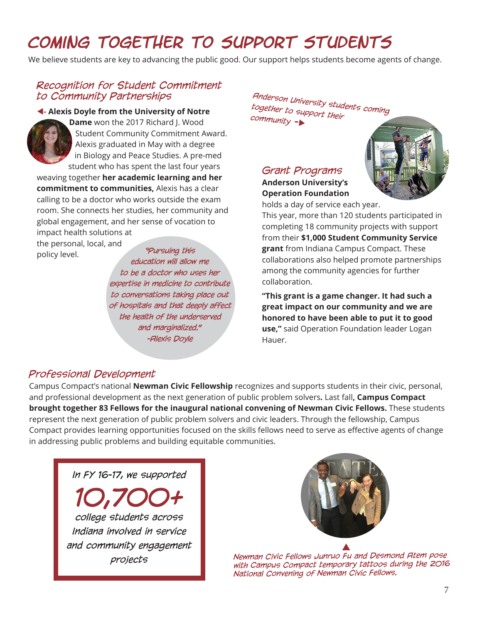### *Coming Together to Support Students*

We believe students are key to advancing the public good. Our support helps students become agents of change.

#### *Recognition for Student Commitment to Community Partnerships*

#### **- Alexis Doyle from the University of Notre**



**Dame** won the 2017 Richard J. Wood Student Community Commitment Award. Alexis graduated in May with a degree in Biology and Peace Studies. A pre-med student who has spent the last four years

weaving together **her academic learning and her commitment to communities,** Alexis has a clear calling to be a doctor who works outside the exam room. She connects her studies, her community and global engagement, and her sense of vocation to impact health solutions at

the personal, local, and policy level. *"Pursuing this* 

*education will allow me to be a doctor who uses her expertise in medicine to contribute to conversations taking place out of hospitals and that deeply affect the health of the underserved and marginalized." -Alexis Doyle*

*Anderson University students coming together to support their community -*

#### *Grant Programs*  **Anderson University's Operation Foundation**



holds a day of service each year.

This year, more than 120 students participated in completing 18 community projects with support from their **\$1,000 Student Community Service grant** from Indiana Campus Compact. These collaborations also helped promote partnerships among the community agencies for further collaboration.

**"This grant is a game changer. It had such a great impact on our community and we are honored to have been able to put it to good use,"** said Operation Foundation leader Logan Hauer.

#### *Professional Development*

Campus Compact's national **Newman Civic Fellowship** recognizes and supports students in their civic, personal, and professional development as the next generation of public problem solvers**.** Last fall**, Campus Compact brought together 83 Fellows for the inaugural national convening of Newman Civic Fellows.** These students represent the next generation of public problem solvers and civic leaders. Through the fellowship, Campus Compact provides learning opportunities focused on the skills fellows need to serve as effective agents of change in addressing public problems and building equitable communities.

*In FY 16-17, we supported* 

*10,700+ college students across Indiana involved in service and community engagement projects*



*Newman Civic Fellows Junruo Fu and Desmond Atem pose with Campus Compact temporary tattoos during the 2016 National Convening of Newman Civic Fellows.*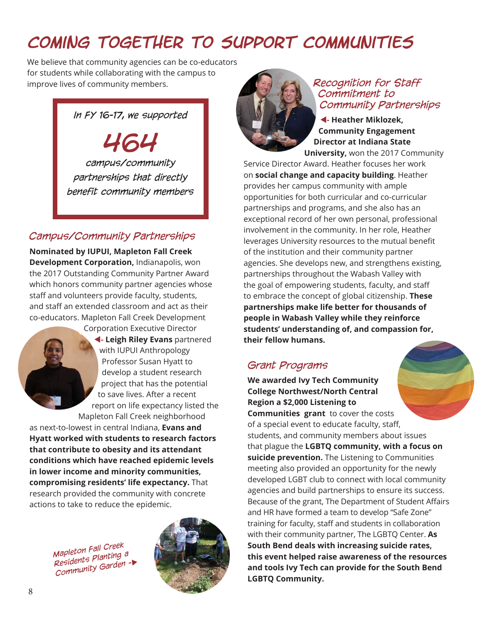### *Coming Together To Support Communities*

We believe that community agencies can be co-educators for students while collaborating with the campus to improve lives of community members. **All the Recognition for Staff** 

#### *In FY 16-17, we supported*

*464 campus/community partnerships that directly benefit community members*

#### *Campus/Community Partnerships*

**Nominated by IUPUI, Mapleton Fall Creek Development Corporation,** Indianapolis, won the 2017 Outstanding Community Partner Award which honors community partner agencies whose staff and volunteers provide faculty, students, and staff an extended classroom and act as their co-educators. Mapleton Fall Creek Development



Corporation Executive Director **- Leigh Riley Evans** partnered with IUPUI Anthropology Professor Susan Hyatt to develop a student research project that has the potential to save lives. After a recent report on life expectancy listed the Mapleton Fall Creek neighborhood

as next-to-lowest in central Indiana, **Evans and Hyatt worked with students to research factors that contribute to obesity and its attendant conditions which have reached epidemic levels in lower income and minority communities, compromising residents' life expectancy.** That research provided the community with concrete actions to take to reduce the epidemic.

*Mapleton Fall Creek Residents Planting a Community Garden -*





### *Commitment to Community Partnerships*

**- Heather Miklozek, Community Engagement Director at Indiana State University,** won the 2017 Community

Service Director Award. Heather focuses her work on **social change and capacity building**. Heather provides her campus community with ample opportunities for both curricular and co-curricular partnerships and programs, and she also has an exceptional record of her own personal, professional involvement in the community. In her role, Heather leverages University resources to the mutual benefit of the institution and their community partner agencies. She develops new, and strengthens existing, partnerships throughout the Wabash Valley with the goal of empowering students, faculty, and staff to embrace the concept of global citizenship. **These partnerships make life better for thousands of people in Wabash Valley while they reinforce students' understanding of, and compassion for, their fellow humans.**

#### *Grant Programs*

**We awarded Ivy Tech Community College Northwest/North Central Region a \$2,000 Listening to Communities grant** to cover the costs of a special event to educate faculty, staff, students, and community members about issues that plague the **LGBTQ community, with a focus on suicide prevention.** The Listening to Communities meeting also provided an opportunity for the newly developed LGBT club to connect with local community agencies and build partnerships to ensure its success. Because of the grant, The Department of Student Affairs and HR have formed a team to develop "Safe Zone" training for faculty, staff and students in collaboration with their community partner, The LGBTQ Center. **As South Bend deals with increasing suicide rates, this event helped raise awareness of the resources and tools Ivy Tech can provide for the South Bend LGBTQ Community.**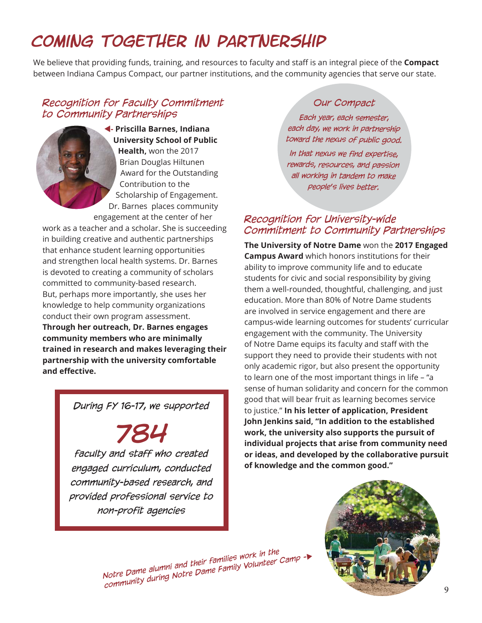### *Coming Together in Partnership*

We believe that providing funds, training, and resources to faculty and staff is an integral piece of the **Compact**  between Indiana Campus Compact, our partner institutions, and the community agencies that serve our state.

#### *Recognition for Faculty Commitment to Community Partnerships*



work as a teacher and a scholar. She is succeeding in building creative and authentic partnerships that enhance student learning opportunities and strengthen local health systems. Dr. Barnes is devoted to creating a community of scholars committed to community-based research. But, perhaps more importantly, she uses her knowledge to help community organizations conduct their own program assessment. **Through her outreach, Dr. Barnes engages community members who are minimally trained in research and makes leveraging their partnership with the university comfortable and eff ective.**

#### *During FY 16-17, we supported*

*784 faculty and staff who created engaged curriculum, conducted community-based research, and provided professional service to non-profit agencies*

#### *Our Compact*

*Each year, each semester, each day, we work in partnership toward the nexus of public good.* 

*In that nexus we find expertise, rewards, resources, and passion all working in tandem to make people's lives better.*

#### *Recognition for University-wide Commitment to Community Partnerships*

**The University of Notre Dame** won the **2017 Engaged Campus Award** which honors institutions for their ability to improve community life and to educate students for civic and social responsibility by giving them a well-rounded, thoughtful, challenging, and just education. More than 80% of Notre Dame students are involved in service engagement and there are campus-wide learning outcomes for students' curricular engagement with the community. The University of Notre Dame equips its faculty and staff with the support they need to provide their students with not only academic rigor, but also present the opportunity to learn one of the most important things in life – "a sense of human solidarity and concern for the common good that will bear fruit as learning becomes service to justice." **In his letter of application, President John Jenkins said, "In addition to the established work, the university also supports the pursuit of individual projects that arise from community need or ideas, and developed by the collaborative pursuit of knowledge and the common good."**

*Notre Dame alumni and their families work in the community during Notre Dame Family Volunteer Camp -*

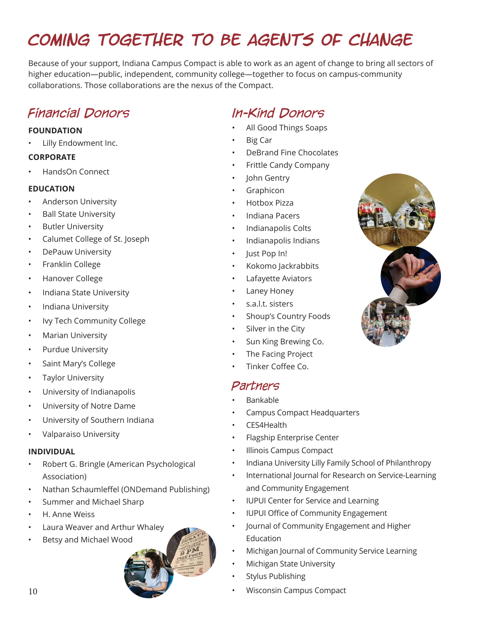### *Coming Together To be agents of change*

Because of your support, Indiana Campus Compact is able to work as an agent of change to bring all sectors of higher education—public, independent, community college—together to focus on campus-community collaborations. Those collaborations are the nexus of the Compact.

### *Financial Donors*

#### **FOUNDATION**

• Lilly Endowment Inc.

#### **CORPORATE**

• HandsOn Connect

#### **EDUCATION**

- Anderson University
- Ball State University
- **Butler University**
- Calumet College of St. Joseph
- DePauw University
- Franklin College
- Hanover College
- Indiana State University
- Indiana University
- Ivy Tech Community College
- Marian University
- Purdue University
- Saint Mary's College
- Taylor University
- University of Indianapolis
- University of Notre Dame
- University of Southern Indiana
- Valparaiso University

#### **INDIVIDUAL**

- Robert G. Bringle (American Psychological Association)
- Nathan Schaumleffel (ONDemand Publishing)
- Summer and Michael Sharp
- H. Anne Weiss
- Laura Weaver and Arthur Whaley
- Betsy and Michael Wood



### *In-Kind Donors*

- All Good Things Soaps
- Big Car
- DeBrand Fine Chocolates
- Frittle Candy Company
- John Gentry
- **Graphicon**
- Hotbox Pizza
- Indiana Pacers
- Indianapolis Colts
- Indianapolis Indians
- Just Pop In!
- Kokomo Jackrabbits
- Lafayette Aviators
- Laney Honey
- s.a.l.t. sisters
- Shoup's Country Foods
- Silver in the City
- Sun King Brewing Co.
- The Facing Project
- Tinker Coffee Co.

#### *Partners*

- Bankable
- Campus Compact Headquarters
- CES4Health
- Flagship Enterprise Center
- Illinois Campus Compact
- Indiana University Lilly Family School of Philanthropy
- International Journal for Research on Service-Learning and Community Engagement
- IUPUI Center for Service and Learning
- IUPUI Office of Community Engagement
- Journal of Community Engagement and Higher Education
- Michigan Journal of Community Service Learning
- Michigan State University
- Stylus Publishing
- Wisconsin Campus Compact

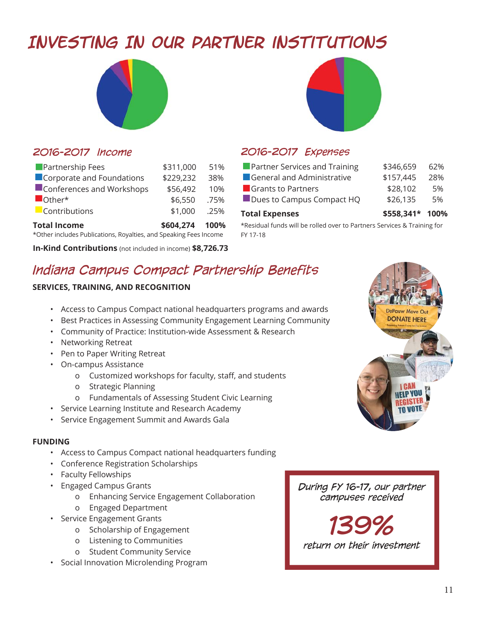### *Investing In Our Partner institutions*





#### *2016-2017 Income*

| Partnership Fees                                                  | \$311,000      | 51%  |  |
|-------------------------------------------------------------------|----------------|------|--|
| Corporate and Foundations                                         | \$229,232      | 38%  |  |
| Conferences and Workshops                                         | \$56,492       | 10%  |  |
| $\blacksquare$ Other*                                             | \$6,550        | .75% |  |
| Contributions                                                     | \$1,000        | .25% |  |
| <b>Total Income</b>                                               | \$604,274 100% |      |  |
| *Other includes Publications, Royalties, and Speaking Fees Income |                |      |  |

**In-Kind Contributions** (not included in income) **\$8,726.73** 

#### *2016-2017 Expenses*

| <b>Total Expenses</b>                | \$558,341* 100% |     |
|--------------------------------------|-----------------|-----|
| Dues to Campus Compact HQ            | \$26,135        | 5%  |
| <b>C</b> Grants to Partners          | \$28,102        | 5%  |
| General and Administrative           | \$157,445       | 28% |
| <b>Partner Services and Training</b> | \$346,659       | 62% |

\*Residual funds will be rolled over to Partners Services & Training for FY 17-18

### *Indiana Campus Compact Partnership Benefits*

#### **SERVICES, TRAINING, AND RECOGNITION**

- Access to Campus Compact national headquarters programs and awards
- Best Practices in Assessing Community Engagement Learning Community
- Community of Practice: Institution-wide Assessment & Research
- Networking Retreat
- Pen to Paper Writing Retreat
- On-campus Assistance
	- o Customized workshops for faculty, staff, and students
	- o Strategic Planning
	- o Fundamentals of Assessing Student Civic Learning
- Service Learning Institute and Research Academy
- Service Engagement Summit and Awards Gala

#### **FUNDING**

- Access to Campus Compact national headquarters funding
- Conference Registration Scholarships
- Faculty Fellowships
- Engaged Campus Grants
	- o Enhancing Service Engagement Collaboration
	- o Engaged Department
- Service Engagement Grants
	- o Scholarship of Engagement
	- o Listening to Communities
	- o Student Community Service
- Social Innovation Microlending Program



*During FY 16-17, our partner campuses received* 

*139% return on their investment*